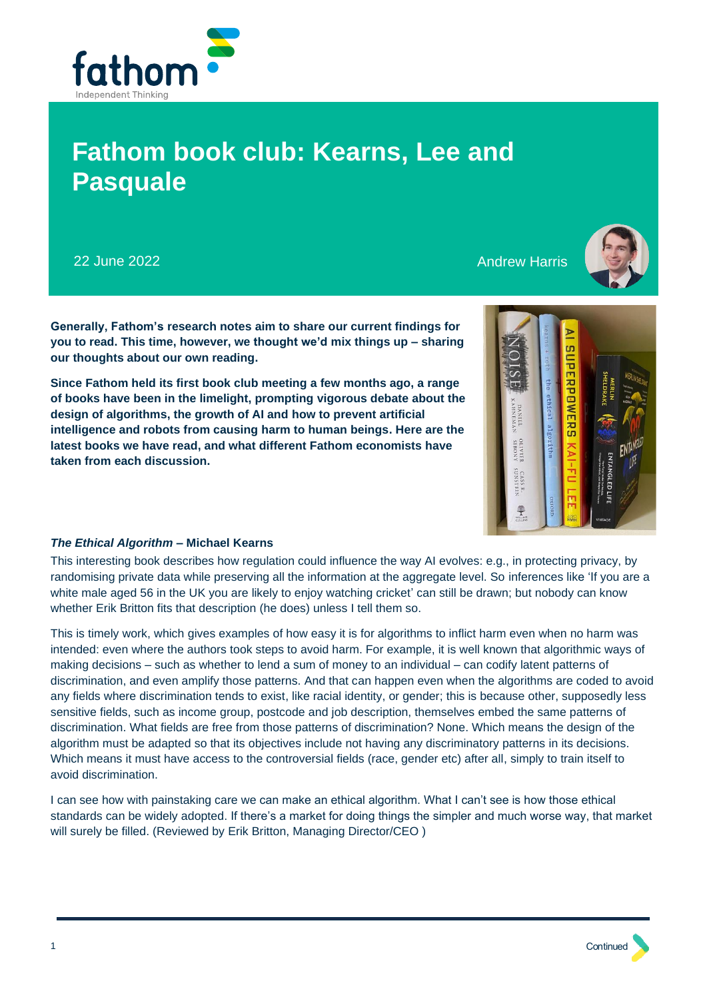

# **Fathom book club: Kearns, Lee and Pasquale**

22 June 2022 **Andrew Harris** 2022 **Andrew Harris** 2001 **Andrew Harris** 2001



**Generally, Fathom's research notes aim to share our current findings for you to read. This time, however, we thought we'd mix things up – sharing our thoughts about our own reading.**

**Since Fathom held its first book club meeting a few months ago, a range of books have been in the limelight, prompting vigorous debate about the design of algorithms, the growth of AI and how to prevent artificial intelligence and robots from causing harm to human beings. Here are the latest books we have read, and what different Fathom economists have taken from each discussion.**



## *The Ethical Algorithm* **– Michael Kearns**

This interesting book describes how regulation could influence the way AI evolves: e.g., in protecting privacy, by randomising private data while preserving all the information at the aggregate level. So inferences like 'If you are a white male aged 56 in the UK you are likely to enjoy watching cricket' can still be drawn; but nobody can know whether Erik Britton fits that description (he does) unless I tell them so.

This is timely work, which gives examples of how easy it is for algorithms to inflict harm even when no harm was intended: even where the authors took steps to avoid harm. For example, it is well known that algorithmic ways of making decisions – such as whether to lend a sum of money to an individual – can codify latent patterns of discrimination, and even amplify those patterns. And that can happen even when the algorithms are coded to avoid any fields where discrimination tends to exist, like racial identity, or gender; this is because other, supposedly less sensitive fields, such as income group, postcode and job description, themselves embed the same patterns of discrimination. What fields are free from those patterns of discrimination? None. Which means the design of the algorithm must be adapted so that its objectives include not having any discriminatory patterns in its decisions. Which means it must have access to the controversial fields (race, gender etc) after all, simply to train itself to avoid discrimination.

I can see how with painstaking care we can make an ethical algorithm. What I can't see is how those ethical standards can be widely adopted. If there's a market for doing things the simpler and much worse way, that market will surely be filled. (Reviewed by Erik Britton, Managing Director/CEO )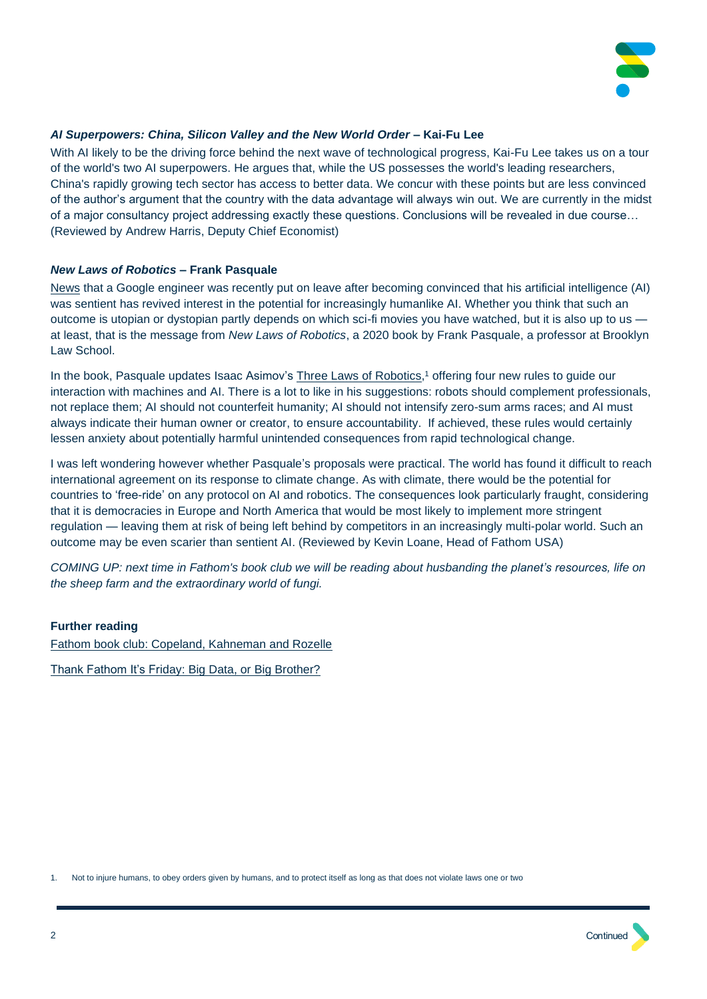

## *AI Superpowers: China, Silicon Valley and the New World Order* **– Kai-Fu Lee**

With AI likely to be the driving force behind the next wave of technological progress, Kai-Fu Lee takes us on a tour of the world's two AI superpowers. He argues that, while the US possesses the world's leading researchers, China's rapidly growing tech sector has access to better data. We concur with these points but are less convinced of the author's argument that the country with the data advantage will always win out. We are currently in the midst of a major consultancy project addressing exactly these questions. Conclusions will be revealed in due course... (Reviewed by Andrew Harris, Deputy Chief Economist)

## *New Laws of Robotics* **– Frank Pasquale**

[News](https://www.theguardian.com/technology/2022/jun/12/google-engineer-ai-bot-sentient-blake-lemoine) that a Google engineer was recently put on leave after becoming convinced that his artificial intelligence (AI) was sentient has revived interest in the potential for increasingly humanlike AI. Whether you think that such an outcome is utopian or dystopian partly depends on which sci-fi movies you have watched, but it is also up to us at least, that is the message from *New Laws of Robotics*, a 2020 book by Frank Pasquale, a professor at Brooklyn Law School.

In the book, Pasquale updates Isaac Asimov's [Three Laws of Robotics,](https://webhome.auburn.edu/~vestmon/robotics.html#:~:text=A%20robot%20may%20not%20injure,the%20First%20or%20Second%20Law.)<sup>1</sup> offering four new rules to guide our interaction with machines and AI. There is a lot to like in his suggestions: robots should complement professionals, not replace them; AI should not counterfeit humanity; AI should not intensify zero-sum arms races; and AI must always indicate their human owner or creator, to ensure accountability. If achieved, these rules would certainly lessen anxiety about potentially harmful unintended consequences from rapid technological change.

I was left wondering however whether Pasquale's proposals were practical. The world has found it difficult to reach international agreement on its response to climate change. As with climate, there would be the potential for countries to 'free-ride' on any protocol on AI and robotics. The consequences look particularly fraught, considering that it is democracies in Europe and North America that would be most likely to implement more stringent regulation — leaving them at risk of being left behind by competitors in an increasingly multi-polar world. Such an outcome may be even scarier than sentient AI. (Reviewed by Kevin Loane, Head of Fathom USA)

*COMING UP: next time in Fathom's book club we will be reading about husbanding the planet's resources, life on the sheep farm and the extraordinary world of fungi.*

#### **Further reading**

[Fathom book club: Copeland, Kahneman and Rozelle](https://www.fathom-consulting.com/research-notes/fathom-book-club-copeland-kahneman-and-rozelle/) Thank Fathom It's Friday: Big Data, or Big Brother?

1. Not to injure humans, to obey orders given by humans, and to protect itself as long as that does not violate laws one or two